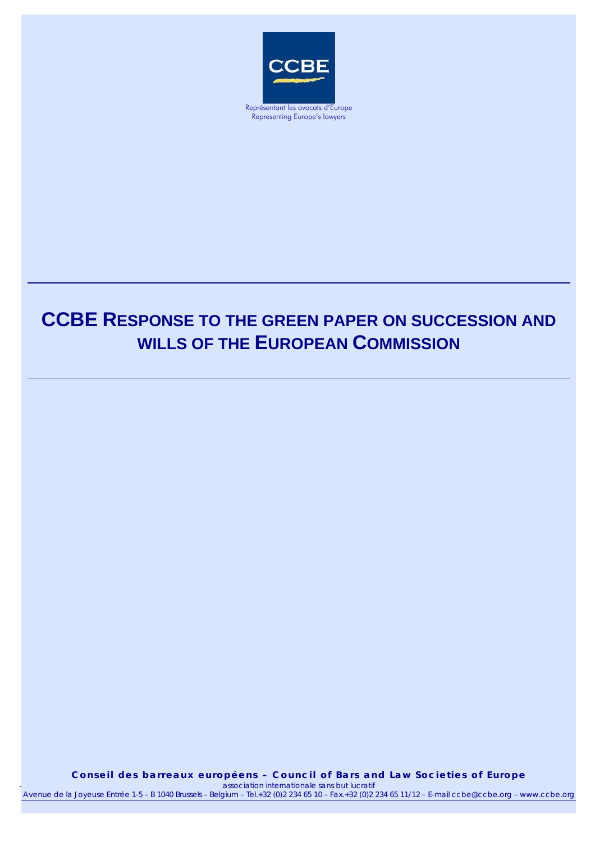

Representing Europe's lawyers

# **CCBE RESPONSE TO THE GREEN PAPER ON SUCCESSION AND WILLS OF THE EUROPEAN COMMISSION**

*association internationale sans but lucratif* Conseil des barreaux européens – Council of Bars and Law Societies of Europe *association internationale sans but lucratif*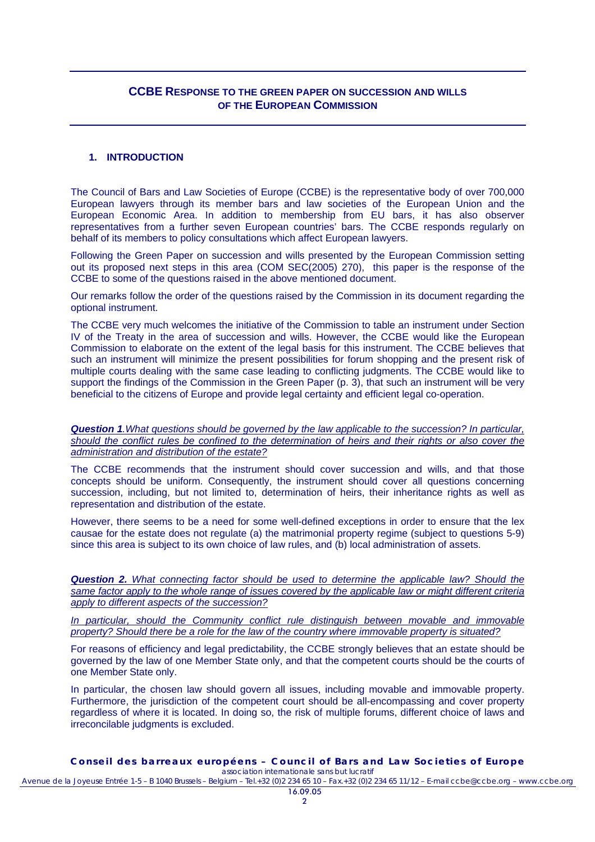# **CCBE RESPONSE TO THE GREEN PAPER ON SUCCESSION AND WILLS OF THE EUROPEAN COMMISSION**

#### **1. INTRODUCTION**

The Council of Bars and Law Societies of Europe (CCBE) is the representative body of over 700,000 European lawyers through its member bars and law societies of the European Union and the European Economic Area. In addition to membership from EU bars, it has also observer representatives from a further seven European countries' bars. The CCBE responds regularly on behalf of its members to policy consultations which affect European lawyers.

Following the Green Paper on succession and wills presented by the European Commission setting out its proposed next steps in this area (COM SEC(2005) 270), this paper is the response of the CCBE to some of the questions raised in the above mentioned document.

Our remarks follow the order of the questions raised by the Commission in its document regarding the optional instrument.

The CCBE very much welcomes the initiative of the Commission to table an instrument under Section IV of the Treaty in the area of succession and wills. However, the CCBE would like the European Commission to elaborate on the extent of the legal basis for this instrument. The CCBE believes that such an instrument will minimize the present possibilities for forum shopping and the present risk of multiple courts dealing with the same case leading to conflicting judgments. The CCBE would like to support the findings of the Commission in the Green Paper (p. 3), that such an instrument will be very beneficial to the citizens of Europe and provide legal certainty and efficient legal co-operation.

*Question 1.What questions should be governed by the law applicable to the succession? In particular, should the conflict rules be confined to the determination of heirs and their rights or also cover the administration and distribution of the estate?*

The CCBE recommends that the instrument should cover succession and wills, and that those concepts should be uniform. Consequently, the instrument should cover all questions concerning succession, including, but not limited to, determination of heirs, their inheritance rights as well as representation and distribution of the estate.

However, there seems to be a need for some well-defined exceptions in order to ensure that the lex causae for the estate does not regulate (a) the matrimonial property regime (subject to questions 5-9) since this area is subject to its own choice of law rules, and (b) local administration of assets.

*Question 2. What connecting factor should be used to determine the applicable law? Should the same factor apply to the whole range of issues covered by the applicable law or might different criteria apply to different aspects of the succession?*

*In particular, should the Community conflict rule distinguish between movable and immovable property? Should there be a role for the law of the country where immovable property is situated?*

For reasons of efficiency and legal predictability, the CCBE strongly believes that an estate should be governed by the law of one Member State only, and that the competent courts should be the courts of one Member State only.

In particular, the chosen law should govern all issues, including movable and immovable property. Furthermore, the jurisdiction of the competent court should be all-encompassing and cover property regardless of where it is located. In doing so, the risk of multiple forums, different choice of laws and irreconcilable judgments is excluded.

**Conseil des barreaux européens – Council of Bars and Law Societies of Europe**  *association internationale sans but lucratif*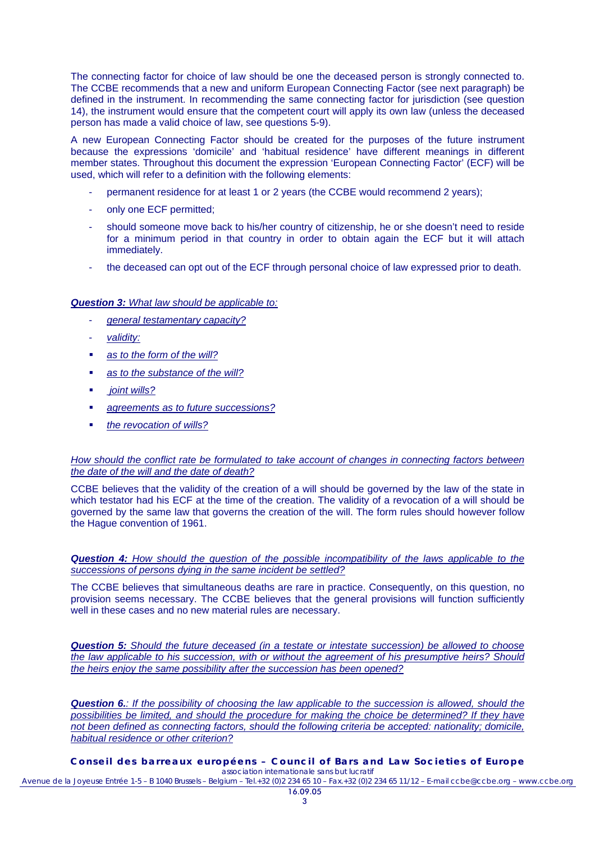The connecting factor for choice of law should be one the deceased person is strongly connected to. The CCBE recommends that a new and uniform European Connecting Factor (see next paragraph) be defined in the instrument. In recommending the same connecting factor for jurisdiction (see question 14), the instrument would ensure that the competent court will apply its own law (unless the deceased person has made a valid choice of law, see questions 5-9).

A new European Connecting Factor should be created for the purposes of the future instrument because the expressions 'domicile' and 'habitual residence' have different meanings in different member states. Throughout this document the expression 'European Connecting Factor' (ECF) will be used, which will refer to a definition with the following elements:

- permanent residence for at least 1 or 2 years (the CCBE would recommend 2 years);
- only one ECF permitted;
- should someone move back to his/her country of citizenship, he or she doesn't need to reside for a minimum period in that country in order to obtain again the ECF but it will attach immediately.
- the deceased can opt out of the ECF through personal choice of law expressed prior to death.

## *Question 3: What law should be applicable to:*

- *general testamentary capacity?*
- *validity:*
- *as to the form of the will?*
- *as to the substance of the will?*
- *joint wills?*
- *agreements as to future successions?*
- *the revocation of wills?*

## *How should the conflict rate be formulated to take account of changes in connecting factors between the date of the will and the date of death?*

CCBE believes that the validity of the creation of a will should be governed by the law of the state in which testator had his ECF at the time of the creation. The validity of a revocation of a will should be governed by the same law that governs the creation of the will. The form rules should however follow the Hague convention of 1961.

*Question 4: How should the question of the possible incompatibility of the laws applicable to the successions of persons dying in the same incident be settled?*

The CCBE believes that simultaneous deaths are rare in practice. Consequently, on this question, no provision seems necessary. The CCBE believes that the general provisions will function sufficiently well in these cases and no new material rules are necessary.

*Question 5: Should the future deceased (in a testate or intestate succession) be allowed to choose the law applicable to his succession, with or without the agreement of his presumptive heirs? Should the heirs enjoy the same possibility after the succession has been opened?*

*Question 6.: If the possibility of choosing the law applicable to the succession is allowed, should the possibilities be limited, and should the procedure for making the choice be determined? If they have not been defined as connecting factors, should the following criteria be accepted: nationality; domicile, habitual residence or other criterion?*

**Conseil des barreaux européens – Council of Bars and Law Societies of Europe**  *association internationale sans but lucratif*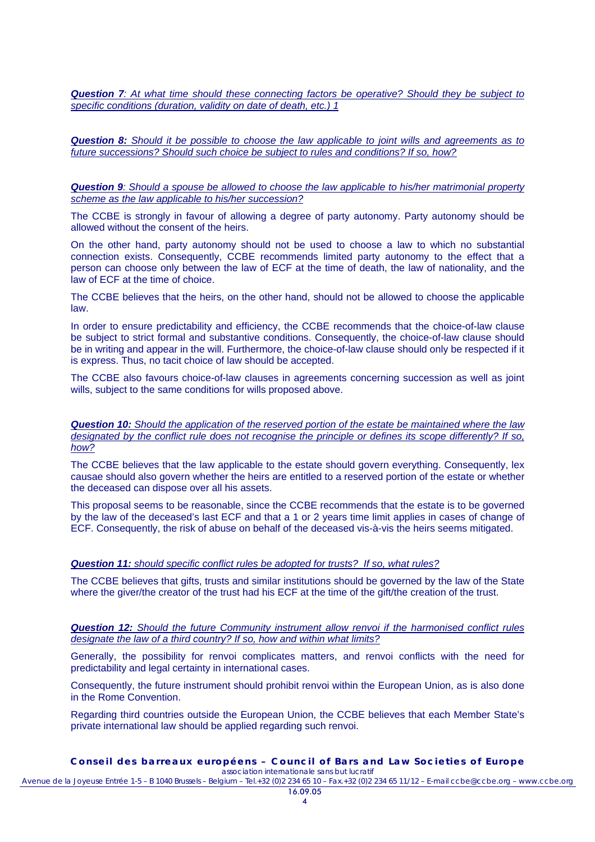*Question 7: At what time should these connecting factors be operative? Should they be subject to specific conditions (duration, validity on date of death, etc.) 1*

*Question 8: Should it be possible to choose the law applicable to joint wills and agreements as to future successions? Should such choice be subject to rules and conditions? If so, how?*

*Question 9: Should a spouse be allowed to choose the law applicable to his/her matrimonial property scheme as the law applicable to his/her succession?*

The CCBE is strongly in favour of allowing a degree of party autonomy. Party autonomy should be allowed without the consent of the heirs.

On the other hand, party autonomy should not be used to choose a law to which no substantial connection exists. Consequently, CCBE recommends limited party autonomy to the effect that a person can choose only between the law of ECF at the time of death, the law of nationality, and the law of ECF at the time of choice.

The CCBE believes that the heirs, on the other hand, should not be allowed to choose the applicable law.

In order to ensure predictability and efficiency, the CCBE recommends that the choice-of-law clause be subject to strict formal and substantive conditions. Consequently, the choice-of-law clause should be in writing and appear in the will. Furthermore, the choice-of-law clause should only be respected if it is express. Thus, no tacit choice of law should be accepted.

The CCBE also favours choice-of-law clauses in agreements concerning succession as well as joint wills, subject to the same conditions for wills proposed above.

*Question 10: Should the application of the reserved portion of the estate be maintained where the law designated by the conflict rule does not recognise the principle or defines its scope differently? If so, how?*

The CCBE believes that the law applicable to the estate should govern everything. Consequently, lex causae should also govern whether the heirs are entitled to a reserved portion of the estate or whether the deceased can dispose over all his assets.

This proposal seems to be reasonable, since the CCBE recommends that the estate is to be governed by the law of the deceased's last ECF and that a 1 or 2 years time limit applies in cases of change of ECF. Consequently, the risk of abuse on behalf of the deceased vis-à-vis the heirs seems mitigated.

## *Question 11: should specific conflict rules be adopted for trusts? If so, what rules?*

The CCBE believes that gifts, trusts and similar institutions should be governed by the law of the State where the giver/the creator of the trust had his ECF at the time of the gift/the creation of the trust.

#### *Question 12: Should the future Community instrument allow renvoi if the harmonised conflict rules designate the law of a third country? If so, how and within what limits?*

Generally, the possibility for renvoi complicates matters, and renvoi conflicts with the need for predictability and legal certainty in international cases.

Consequently, the future instrument should prohibit renvoi within the European Union, as is also done in the Rome Convention.

Regarding third countries outside the European Union, the CCBE believes that each Member State's private international law should be applied regarding such renvoi.

#### **Conseil des barreaux européens – Council of Bars and Law Societies of Europe**  *association internationale sans but lucratif*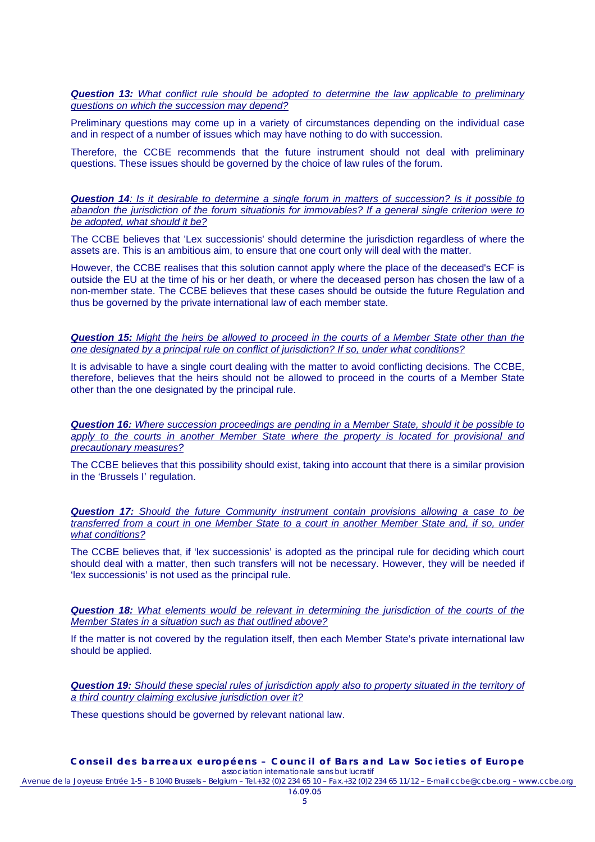*Question 13: What conflict rule should be adopted to determine the law applicable to preliminary questions on which the succession may depend?*

Preliminary questions may come up in a variety of circumstances depending on the individual case and in respect of a number of issues which may have nothing to do with succession.

Therefore, the CCBE recommends that the future instrument should not deal with preliminary questions. These issues should be governed by the choice of law rules of the forum.

*Question 14: Is it desirable to determine a single forum in matters of succession? Is it possible to abandon the jurisdiction of the forum situationis for immovables? If a general single criterion were to be adopted, what should it be?*

The CCBE believes that 'Lex successionis' should determine the jurisdiction regardless of where the assets are. This is an ambitious aim, to ensure that one court only will deal with the matter.

However, the CCBE realises that this solution cannot apply where the place of the deceased's ECF is outside the EU at the time of his or her death, or where the deceased person has chosen the law of a non-member state. The CCBE believes that these cases should be outside the future Regulation and thus be governed by the private international law of each member state.

*Question 15: Might the heirs be allowed to proceed in the courts of a Member State other than the one designated by a principal rule on conflict of jurisdiction? If so, under what conditions?*

It is advisable to have a single court dealing with the matter to avoid conflicting decisions. The CCBE, therefore, believes that the heirs should not be allowed to proceed in the courts of a Member State other than the one designated by the principal rule.

*Question 16: Where succession proceedings are pending in a Member State, should it be possible to apply to the courts in another Member State where the property is located for provisional and precautionary measures?*

The CCBE believes that this possibility should exist, taking into account that there is a similar provision in the 'Brussels I' regulation.

*Question 17: Should the future Community instrument contain provisions allowing a case to be transferred from a court in one Member State to a court in another Member State and, if so, under what conditions?*

The CCBE believes that, if 'lex successionis' is adopted as the principal rule for deciding which court should deal with a matter, then such transfers will not be necessary. However, they will be needed if 'lex successionis' is not used as the principal rule.

*Question 18: What elements would be relevant in determining the jurisdiction of the courts of the Member States in a situation such as that outlined above?*

If the matter is not covered by the regulation itself, then each Member State's private international law should be applied.

*Question 19: Should these special rules of jurisdiction apply also to property situated in the territory of a third country claiming exclusive jurisdiction over it?*

These questions should be governed by relevant national law.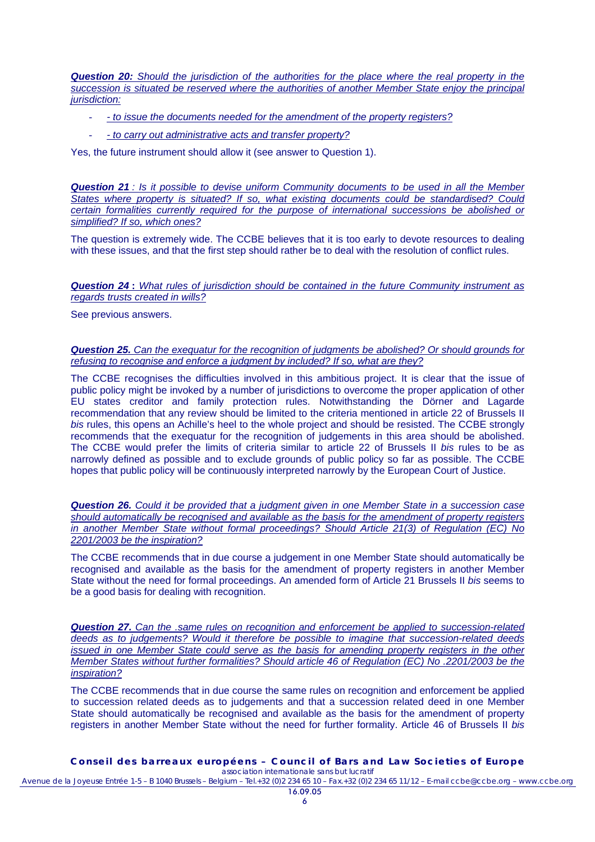**Question 20:** Should the jurisdiction of the authorities for the place where the real property in the *succession is situated be reserved where the authorities of another Member State enjoy the principal jurisdiction:*

- *to issue the documents needed for the amendment of the property registers?*
- *to carry out administrative acts and transfer property?*

Yes, the future instrument should allow it (see answer to Question 1).

*Question 21 : Is it possible to devise uniform Community documents to be used in all the Member States where property is situated? If so, what existing documents could be standardised? Could certain formalities currently required for the purpose of international successions be abolished or simplified? If so, which ones?*

The question is extremely wide. The CCBE believes that it is too early to devote resources to dealing with these issues, and that the first step should rather be to deal with the resolution of conflict rules.

*Question 24* **:** *What rules of jurisdiction should be contained in the future Community instrument as regards trusts created in wills?*

See previous answers.

*Question 25. Can the exequatur for the recognition of judgments be abolished? Or should grounds for refusing to recognise and enforce a judgment by included? If so, what are they?*

The CCBE recognises the difficulties involved in this ambitious project. It is clear that the issue of public policy might be invoked by a number of jurisdictions to overcome the proper application of other EU states creditor and family protection rules. Notwithstanding the Dörner and Lagarde recommendation that any review should be limited to the criteria mentioned in article 22 of Brussels II *bis* rules, this opens an Achille's heel to the whole project and should be resisted. The CCBE strongly recommends that the exequatur for the recognition of judgements in this area should be abolished. The CCBE would prefer the limits of criteria similar to article 22 of Brussels II *bis* rules to be as narrowly defined as possible and to exclude grounds of public policy so far as possible. The CCBE hopes that public policy will be continuously interpreted narrowly by the European Court of Justice.

*Question 26. Could it be provided that a judgment given in one Member State in a succession case should automatically be recognised and available as the basis for the amendment of property registers in another Member State without formal proceedings? Should Article 21(3) of Regulation (EC) No 2201/2003 be the inspiration?*

The CCBE recommends that in due course a judgement in one Member State should automatically be recognised and available as the basis for the amendment of property registers in another Member State without the need for formal proceedings. An amended form of Article 21 Brussels II *bis* seems to be a good basis for dealing with recognition.

*Question 27. Can the .same rules on recognition and enforcement be applied to succession-related deeds as to judgements? Would it therefore be possible to imagine that succession-related deeds issued in one Member State could serve as the basis for amending property registers in the other Member States without further formalities? Should article 46 of Regulation (EC) No .2201/2003 be the inspiration?*

The CCBE recommends that in due course the same rules on recognition and enforcement be applied to succession related deeds as to judgements and that a succession related deed in one Member State should automatically be recognised and available as the basis for the amendment of property registers in another Member State without the need for further formality. Article 46 of Brussels II *bis*

**Conseil des barreaux européens – Council of Bars and Law Societies of Europe**  *association internationale sans but lucratif* Avenue de la Joyeuse Entrée 1-5 – B 1040 Brussels – Belgium – Tel.+32 (0)2 234 65 10 – Fax.+32 (0)2 234 65 11/12 – E-mail ccbe@ccbe.org – www.ccbe.org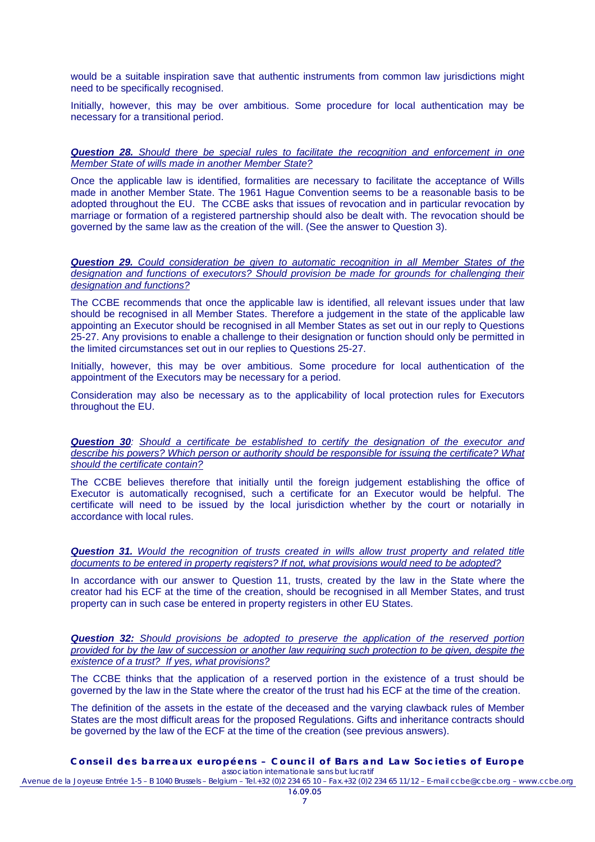would be a suitable inspiration save that authentic instruments from common law jurisdictions might need to be specifically recognised.

Initially, however, this may be over ambitious. Some procedure for local authentication may be necessary for a transitional period.

*Question 28. Should there be special rules to facilitate the recognition and enforcement in one Member State of wills made in another Member State?*

Once the applicable law is identified, formalities are necessary to facilitate the acceptance of Wills made in another Member State. The 1961 Hague Convention seems to be a reasonable basis to be adopted throughout the EU. The CCBE asks that issues of revocation and in particular revocation by marriage or formation of a registered partnership should also be dealt with. The revocation should be governed by the same law as the creation of the will. (See the answer to Question 3).

*Question 29. Could consideration be given to automatic recognition in all Member States of the designation and functions of executors? Should provision be made for grounds for challenging their designation and functions?*

The CCBE recommends that once the applicable law is identified, all relevant issues under that law should be recognised in all Member States. Therefore a judgement in the state of the applicable law appointing an Executor should be recognised in all Member States as set out in our reply to Questions 25-27. Any provisions to enable a challenge to their designation or function should only be permitted in the limited circumstances set out in our replies to Questions 25-27.

Initially, however, this may be over ambitious. Some procedure for local authentication of the appointment of the Executors may be necessary for a period.

Consideration may also be necessary as to the applicability of local protection rules for Executors throughout the EU.

*Question 30: Should a certificate be established to certify the designation of the executor and describe his powers? Which person or authority should be responsible for issuing the certificate? What should the certificate contain?*

The CCBE believes therefore that initially until the foreign judgement establishing the office of Executor is automatically recognised, such a certificate for an Executor would be helpful. The certificate will need to be issued by the local jurisdiction whether by the court or notarially in accordance with local rules.

*Question 31. Would the recognition of trusts created in wills allow trust property and related title documents to be entered in property registers? If not, what provisions would need to be adopted?*

In accordance with our answer to Question 11, trusts, created by the law in the State where the creator had his ECF at the time of the creation, should be recognised in all Member States, and trust property can in such case be entered in property registers in other EU States.

*Question 32: Should provisions be adopted to preserve the application of the reserved portion provided for by the law of succession or another law requiring such protection to be given, despite the existence of a trust? If yes, what provisions?*

The CCBE thinks that the application of a reserved portion in the existence of a trust should be governed by the law in the State where the creator of the trust had his ECF at the time of the creation.

The definition of the assets in the estate of the deceased and the varying clawback rules of Member States are the most difficult areas for the proposed Regulations. Gifts and inheritance contracts should be governed by the law of the ECF at the time of the creation (see previous answers).

**Conseil des barreaux européens – Council of Bars and Law Societies of Europe**  *association internationale sans but lucratif*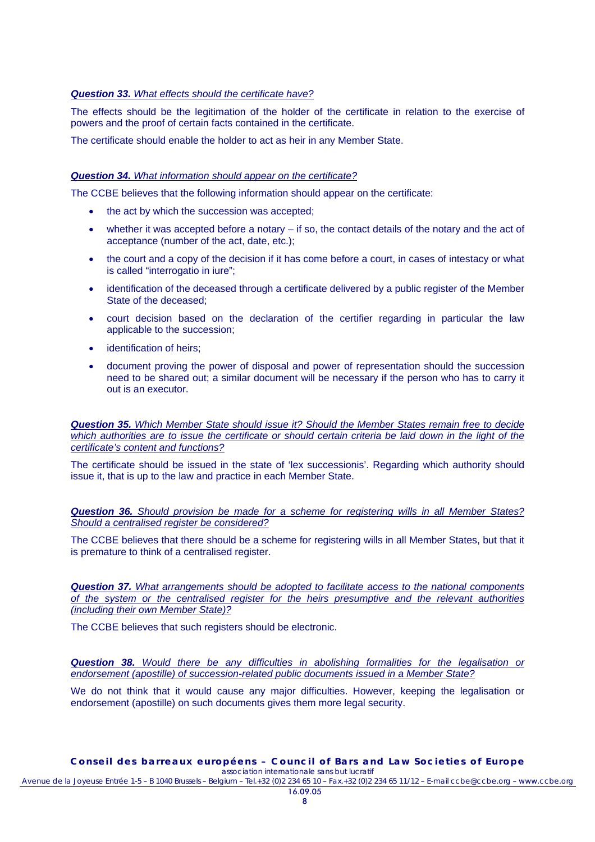## *Question 33. What effects should the certificate have?*

The effects should be the legitimation of the holder of the certificate in relation to the exercise of powers and the proof of certain facts contained in the certificate.

The certificate should enable the holder to act as heir in any Member State.

## *Question 34. What information should appear on the certificate?*

The CCBE believes that the following information should appear on the certificate:

- the act by which the succession was accepted;
- whether it was accepted before a notary  $-$  if so, the contact details of the notary and the act of acceptance (number of the act, date, etc.);
- the court and a copy of the decision if it has come before a court, in cases of intestacy or what is called "interrogatio in iure";
- identification of the deceased through a certificate delivered by a public register of the Member State of the deceased;
- court decision based on the declaration of the certifier regarding in particular the law applicable to the succession;
- identification of heirs:
- document proving the power of disposal and power of representation should the succession need to be shared out; a similar document will be necessary if the person who has to carry it out is an executor.

*Question 35. Which Member State should issue it? Should the Member States remain free to decide*  which authorities are to issue the certificate or should certain criteria be laid down in the light of the *certificate's content and functions?*

The certificate should be issued in the state of 'lex successionis'. Regarding which authority should issue it, that is up to the law and practice in each Member State.

*Question 36. Should provision be made for a scheme for registering wills in all Member States? Should a centralised register be considered?*

The CCBE believes that there should be a scheme for registering wills in all Member States, but that it is premature to think of a centralised register.

*Question 37. What arrangements should be adopted to facilitate access to the national components of the system or the centralised register for the heirs presumptive and the relevant authorities (including their own Member State)?*

The CCBE believes that such registers should be electronic.

*Question 38. Would there be any difficulties in abolishing formalities for the legalisation or endorsement (apostille) of succession-related public documents issued in a Member State?*

We do not think that it would cause any major difficulties. However, keeping the legalisation or endorsement (apostille) on such documents gives them more legal security.

#### **Conseil des barreaux européens – Council of Bars and Law Societies of Europe**  *association internationale sans but lucratif*